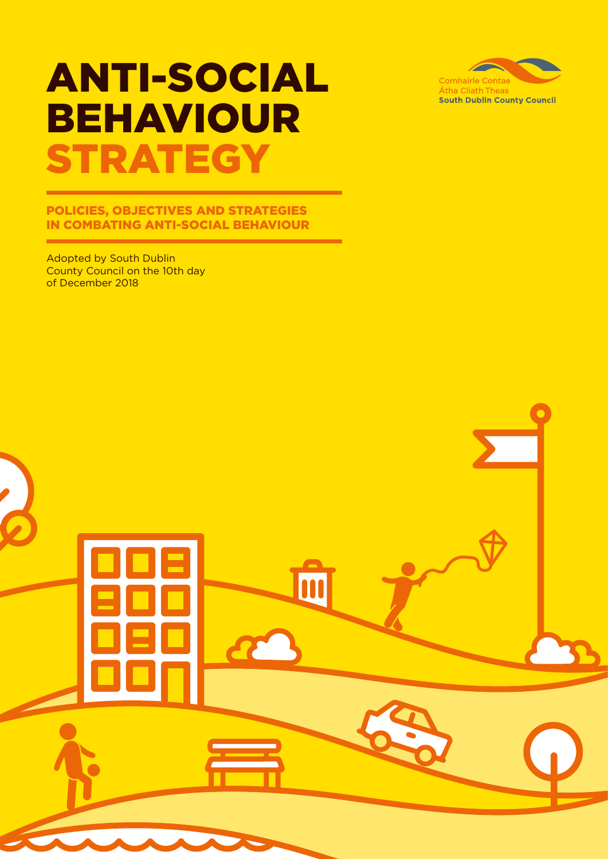# ANTI-SOCIAL BEHAVIOUR **STRATEGY**

### POLICIES, OBJECTIVES AND STRATEGIES IN COMBATING ANTI-SOCIAL BEHAVIOUR

m

7

Adopted by South Dublin County Council on the 10th day of December 2018

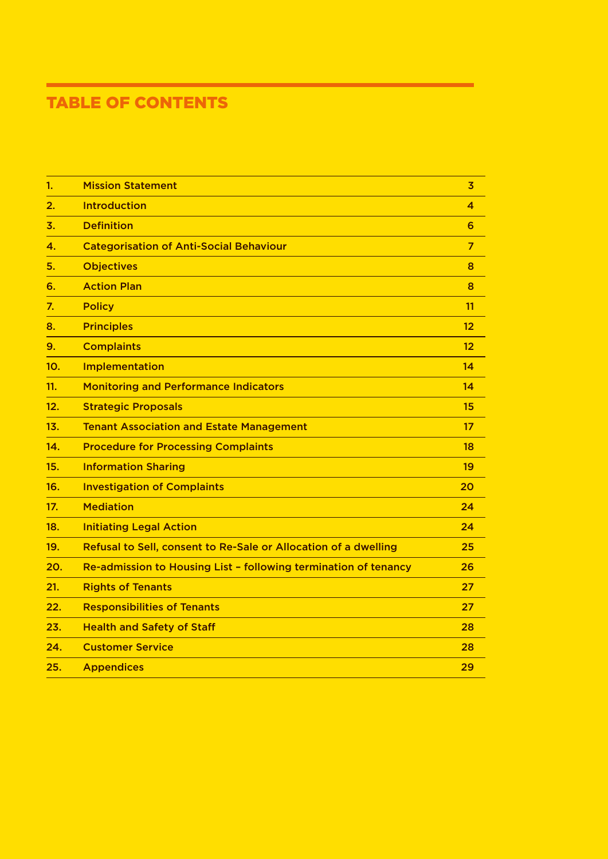## TABLE OF CONTENTS

| 1.  | <b>Mission Statement</b>                                        | $\overline{3}$ |
|-----|-----------------------------------------------------------------|----------------|
| 2.  | <b>Introduction</b>                                             | 4              |
| 3.  | <b>Definition</b>                                               | 6              |
| 4.  | <b>Categorisation of Anti-Social Behaviour</b>                  | $\overline{7}$ |
| 5.  | <b>Objectives</b>                                               | 8              |
| 6.  | <b>Action Plan</b>                                              | 8              |
| 7.  | <b>Policy</b>                                                   | 11             |
| 8.  | <b>Principles</b>                                               | 12             |
| 9.  | <b>Complaints</b>                                               | 12             |
| 10. | Implementation                                                  | 14             |
| 11. | <b>Monitoring and Performance Indicators</b>                    | 14             |
| 12. | <b>Strategic Proposals</b>                                      | 15             |
| 13. | <b>Tenant Association and Estate Management</b>                 | 17             |
| 14. | <b>Procedure for Processing Complaints</b>                      | 18             |
| 15. | <b>Information Sharing</b>                                      | 19             |
| 16. | <b>Investigation of Complaints</b>                              | 20             |
| 17. | <b>Mediation</b>                                                | 24             |
| 18. | <b>Initiating Legal Action</b>                                  | 24             |
| 19. | Refusal to Sell, consent to Re-Sale or Allocation of a dwelling | 25             |
| 20. | Re-admission to Housing List - following termination of tenancy | 26             |
| 21. | <b>Rights of Tenants</b>                                        | 27             |
| 22. | <b>Responsibilities of Tenants</b>                              | 27             |
| 23. | <b>Health and Safety of Staff</b>                               | 28             |
| 24. | <b>Customer Service</b>                                         | 28             |
| 25. | <b>Appendices</b>                                               | 29             |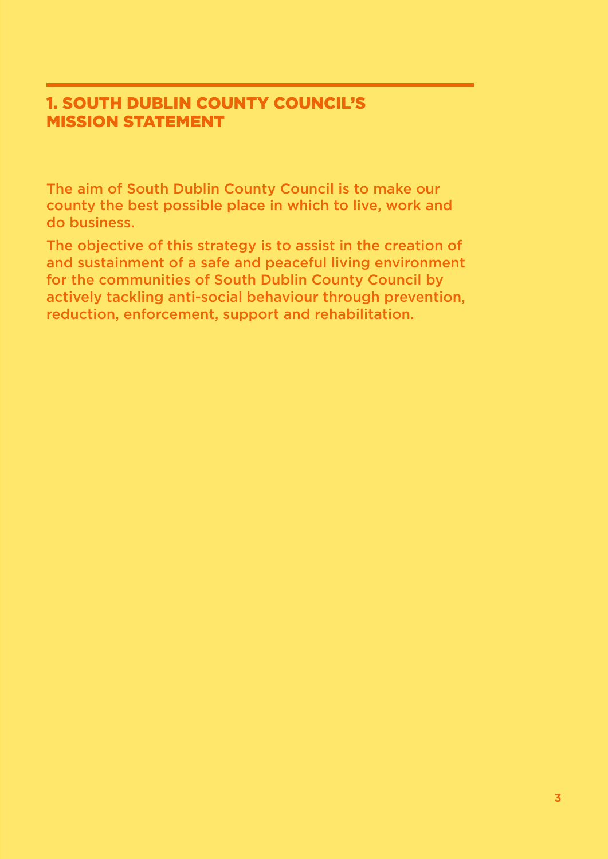### 1. SOUTH DUBLIN COUNTY COUNCIL'S MISSION STATEMENT

The aim of South Dublin County Council is to make our county the best possible place in which to live, work and do business.

The objective of this strategy is to assist in the creation of and sustainment of a safe and peaceful living environment for the communities of South Dublin County Council by actively tackling anti-social behaviour through prevention, reduction, enforcement, support and rehabilitation.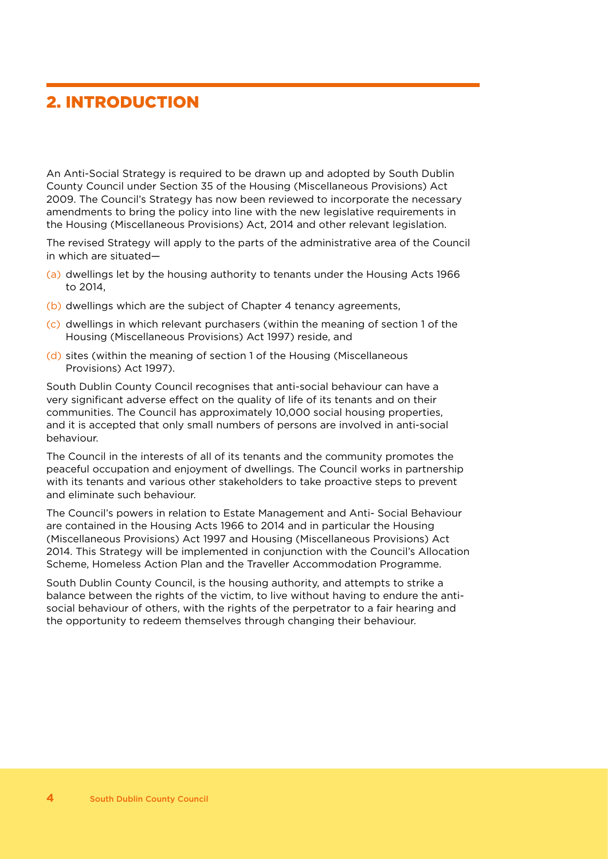### 2. INTRODUCTION

An Anti-Social Strategy is required to be drawn up and adopted by South Dublin County Council under Section 35 of the Housing (Miscellaneous Provisions) Act 2009. The Council's Strategy has now been reviewed to incorporate the necessary amendments to bring the policy into line with the new legislative requirements in the Housing (Miscellaneous Provisions) Act, 2014 and other relevant legislation.

The revised Strategy will apply to the parts of the administrative area of the Council in which are situated—

- (a) dwellings let by the housing authority to tenants under the Housing Acts 1966 to 2014,
- (b) dwellings which are the subject of Chapter 4 tenancy agreements,
- (c) dwellings in which relevant purchasers (within the meaning of section 1 of the Housing (Miscellaneous Provisions) Act 1997) reside, and
- (d) sites (within the meaning of section 1 of the Housing (Miscellaneous Provisions) Act 1997).

South Dublin County Council recognises that anti-social behaviour can have a very significant adverse effect on the quality of life of its tenants and on their communities. The Council has approximately 10,000 social housing properties, and it is accepted that only small numbers of persons are involved in anti-social behaviour.

The Council in the interests of all of its tenants and the community promotes the peaceful occupation and enjoyment of dwellings. The Council works in partnership with its tenants and various other stakeholders to take proactive steps to prevent and eliminate such behaviour.

The Council's powers in relation to Estate Management and Anti- Social Behaviour are contained in the Housing Acts 1966 to 2014 and in particular the Housing (Miscellaneous Provisions) Act 1997 and Housing (Miscellaneous Provisions) Act 2014. This Strategy will be implemented in conjunction with the Council's Allocation Scheme, Homeless Action Plan and the Traveller Accommodation Programme.

South Dublin County Council, is the housing authority, and attempts to strike a balance between the rights of the victim, to live without having to endure the antisocial behaviour of others, with the rights of the perpetrator to a fair hearing and the opportunity to redeem themselves through changing their behaviour.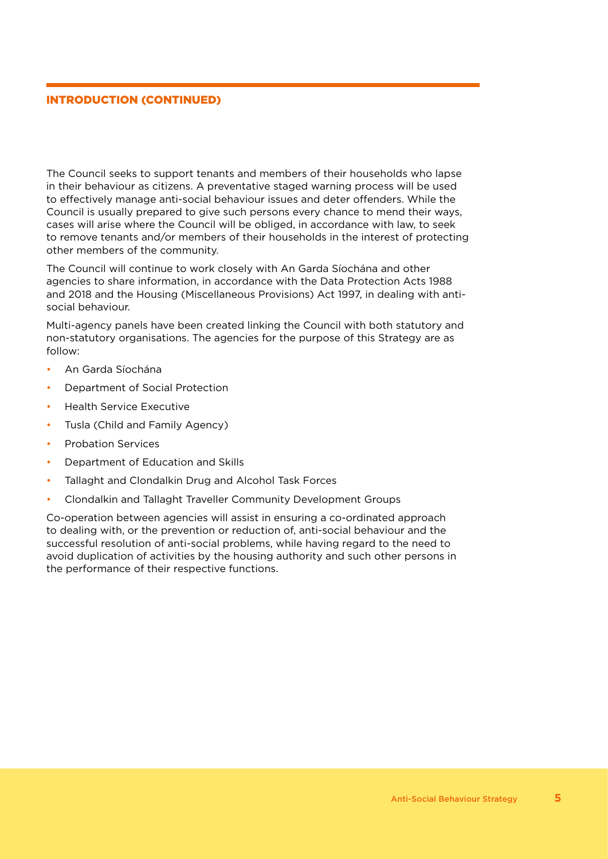#### INTRODUCTION (CONTINUED)

The Council seeks to support tenants and members of their households who lapse in their behaviour as citizens. A preventative staged warning process will be used to effectively manage anti-social behaviour issues and deter offenders. While the Council is usually prepared to give such persons every chance to mend their ways, cases will arise where the Council will be obliged, in accordance with law, to seek to remove tenants and/or members of their households in the interest of protecting other members of the community.

The Council will continue to work closely with An Garda Síochána and other agencies to share information, in accordance with the Data Protection Acts 1988 and 2018 and the Housing (Miscellaneous Provisions) Act 1997, in dealing with antisocial behaviour.

Multi-agency panels have been created linking the Council with both statutory and non-statutory organisations. The agencies for the purpose of this Strategy are as follow:

- An Garda Síochána
- Department of Social Protection
- Health Service Executive
- Tusla (Child and Family Agency)
- Probation Services
- Department of Education and Skills
- Tallaght and Clondalkin Drug and Alcohol Task Forces
- Clondalkin and Tallaght Traveller Community Development Groups

Co-operation between agencies will assist in ensuring a co-ordinated approach to dealing with, or the prevention or reduction of, anti-social behaviour and the successful resolution of anti-social problems, while having regard to the need to avoid duplication of activities by the housing authority and such other persons in the performance of their respective functions.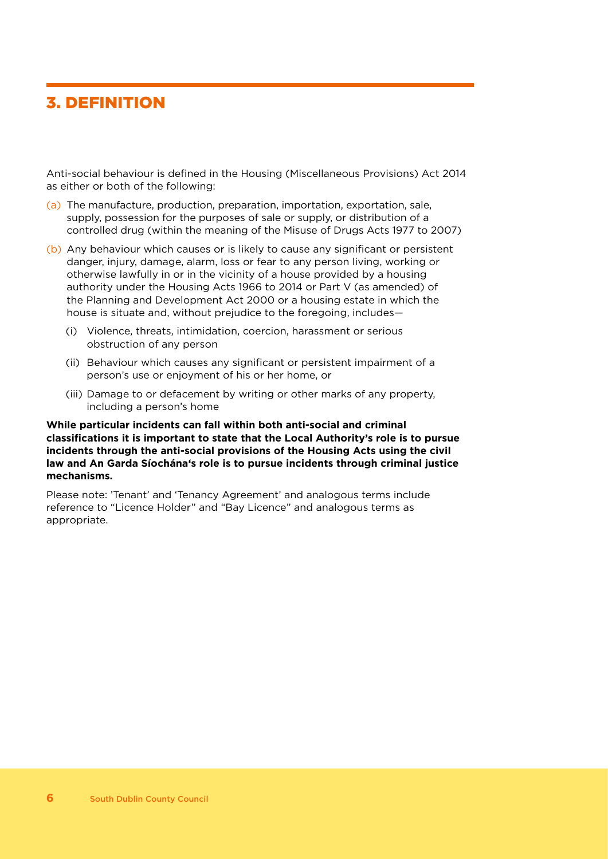### 3. DEFINITION

Anti-social behaviour is defined in the Housing (Miscellaneous Provisions) Act 2014 as either or both of the following:

- (a) The manufacture, production, preparation, importation, exportation, sale, supply, possession for the purposes of sale or supply, or distribution of a controlled drug (within the meaning of the Misuse of Drugs Acts 1977 to 2007)
- (b) Any behaviour which causes or is likely to cause any significant or persistent danger, injury, damage, alarm, loss or fear to any person living, working or otherwise lawfully in or in the vicinity of a house provided by a housing authority under the Housing Acts 1966 to 2014 or Part V (as amended) of the Planning and Development Act 2000 or a housing estate in which the house is situate and, without prejudice to the foregoing, includes—
	- (i) Violence, threats, intimidation, coercion, harassment or serious obstruction of any person
	- (ii) Behaviour which causes any significant or persistent impairment of a person's use or enjoyment of his or her home, or
	- (iii) Damage to or defacement by writing or other marks of any property, including a person's home

#### **While particular incidents can fall within both anti-social and criminal classifications it is important to state that the Local Authority's role is to pursue incidents through the anti-social provisions of the Housing Acts using the civil law and An Garda Síochána's role is to pursue incidents through criminal justice mechanisms.**

Please note: 'Tenant' and 'Tenancy Agreement' and analogous terms include reference to "Licence Holder" and "Bay Licence" and analogous terms as appropriate.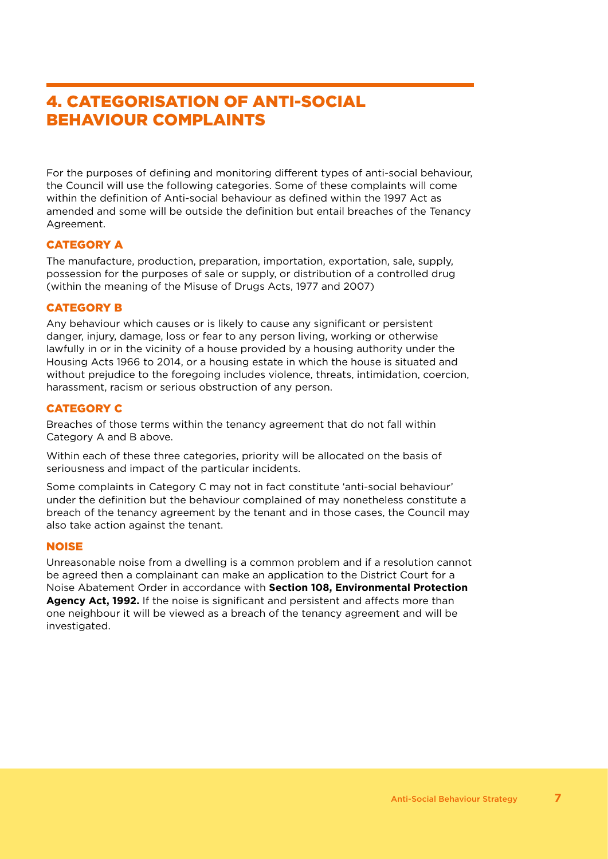### 4. CATEGORISATION OF ANTI-SOCIAL BEHAVIOUR COMPLAINTS

For the purposes of defining and monitoring different types of anti-social behaviour, the Council will use the following categories. Some of these complaints will come within the definition of Anti-social behaviour as defined within the 1997 Act as amended and some will be outside the definition but entail breaches of the Tenancy Agreement.

#### CATEGORY A

The manufacture, production, preparation, importation, exportation, sale, supply, possession for the purposes of sale or supply, or distribution of a controlled drug (within the meaning of the Misuse of Drugs Acts, 1977 and 2007)

#### CATEGORY B

Any behaviour which causes or is likely to cause any significant or persistent danger, injury, damage, loss or fear to any person living, working or otherwise lawfully in or in the vicinity of a house provided by a housing authority under the Housing Acts 1966 to 2014, or a housing estate in which the house is situated and without prejudice to the foregoing includes violence, threats, intimidation, coercion, harassment, racism or serious obstruction of any person.

#### CATEGORY C

Breaches of those terms within the tenancy agreement that do not fall within Category A and B above.

Within each of these three categories, priority will be allocated on the basis of seriousness and impact of the particular incidents.

Some complaints in Category C may not in fact constitute 'anti-social behaviour' under the definition but the behaviour complained of may nonetheless constitute a breach of the tenancy agreement by the tenant and in those cases, the Council may also take action against the tenant.

#### NOISE

Unreasonable noise from a dwelling is a common problem and if a resolution cannot be agreed then a complainant can make an application to the District Court for a Noise Abatement Order in accordance with **Section 108, Environmental Protection Agency Act, 1992.** If the noise is significant and persistent and affects more than one neighbour it will be viewed as a breach of the tenancy agreement and will be investigated.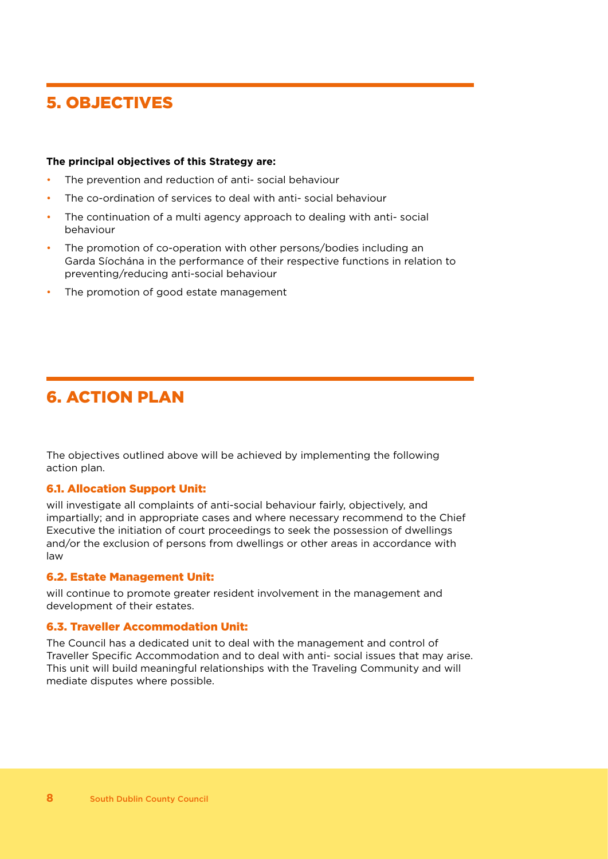### 5. OBJECTIVES

#### **The principal objectives of this Strategy are:**

- The prevention and reduction of anti-social behaviour
- The co-ordination of services to deal with anti-social behaviour
- The continuation of a multi agency approach to dealing with anti-social behaviour
- The promotion of co-operation with other persons/bodies including an Garda Síochána in the performance of their respective functions in relation to preventing/reducing anti-social behaviour
- The promotion of good estate management

### 6. ACTION PLAN

The objectives outlined above will be achieved by implementing the following action plan.

#### 6.1. Allocation Support Unit:

will investigate all complaints of anti-social behaviour fairly, objectively, and impartially; and in appropriate cases and where necessary recommend to the Chief Executive the initiation of court proceedings to seek the possession of dwellings and/or the exclusion of persons from dwellings or other areas in accordance with law

#### 6.2. Estate Management Unit:

will continue to promote greater resident involvement in the management and development of their estates.

#### 6.3. Traveller Accommodation Unit:

The Council has a dedicated unit to deal with the management and control of Traveller Specific Accommodation and to deal with anti- social issues that may arise. This unit will build meaningful relationships with the Traveling Community and will mediate disputes where possible.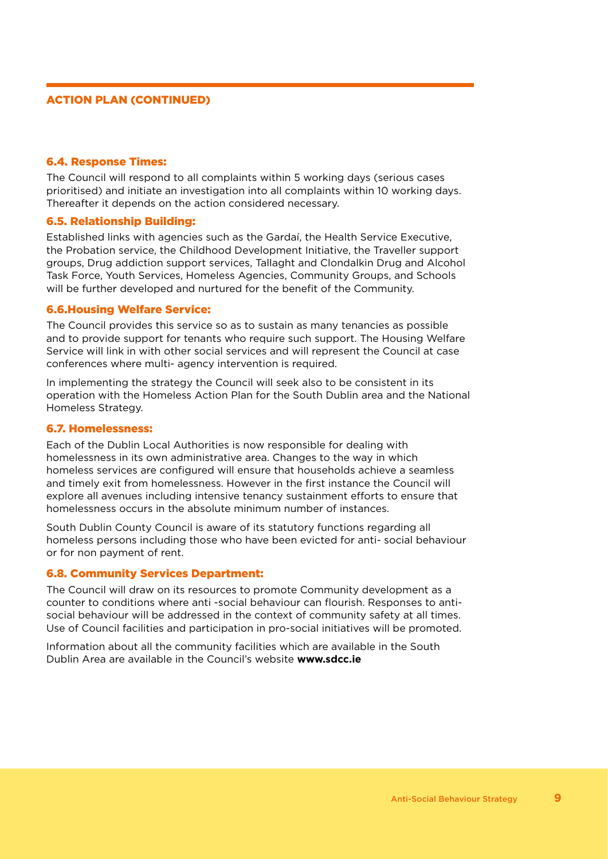#### ACTION PLAN (CONTINUED)

#### 6.4. Response Times:

The Council will respond to all complaints within 5 working days (serious cases prioritised) and initiate an investigation into all complaints within 10 working days. Thereafter it depends on the action considered necessary.

#### 6.5. Relationship Building:

Established links with agencies such as the Gardaí, the Health Service Executive, the Probation service, the Childhood Development Initiative, the Traveller support groups, Drug addiction support services, Tallaght and Clondalkin Drug and Alcohol Task Force, Youth Services, Homeless Agencies, Community Groups, and Schools will be further developed and nurtured for the benefit of the Community.

#### 6.6.Housing Welfare Service:

The Council provides this service so as to sustain as many tenancies as possible and to provide support for tenants who require such support. The Housing Welfare Service will link in with other social services and will represent the Council at case conferences where multi- agency intervention is required.

In implementing the strategy the Council will seek also to be consistent in its operation with the Homeless Action Plan for the South Dublin area and the National Homeless Strategy.

#### 6.7. Homelessness:

Each of the Dublin Local Authorities is now responsible for dealing with homelessness in its own administrative area. Changes to the way in which homeless services are configured will ensure that households achieve a seamless and timely exit from homelessness. However in the first instance the Council will explore all avenues including intensive tenancy sustainment efforts to ensure that homelessness occurs in the absolute minimum number of instances.

South Dublin County Council is aware of its statutory functions regarding all homeless persons including those who have been evicted for anti- social behaviour or for non payment of rent.

#### 6.8. Community Services Department:

The Council will draw on its resources to promote Community development as a counter to conditions where anti -social behaviour can flourish. Responses to antisocial behaviour will be addressed in the context of community safety at all times. Use of Council facilities and participation in pro-social initiatives will be promoted.

Information about all the community facilities which are available in the South Dublin Area are available in the Council's website **www.sdcc.ie**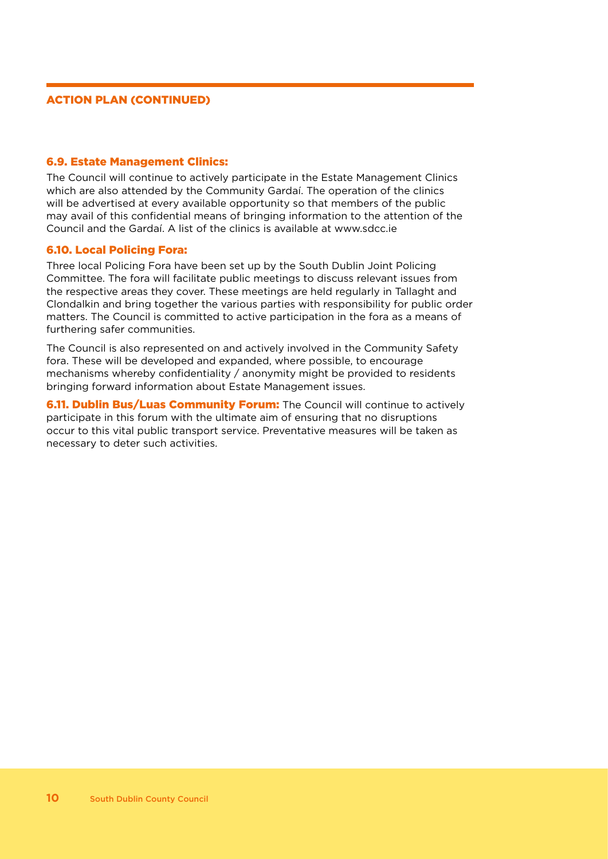#### ACTION PLAN (CONTINUED)

#### 6.9. Estate Management Clinics:

The Council will continue to actively participate in the Estate Management Clinics which are also attended by the Community Gardaí. The operation of the clinics will be advertised at every available opportunity so that members of the public may avail of this confidential means of bringing information to the attention of the Council and the Gardaí. A list of the clinics is available at www.sdcc.ie

#### 6.10. Local Policing Fora:

Three local Policing Fora have been set up by the South Dublin Joint Policing Committee. The fora will facilitate public meetings to discuss relevant issues from the respective areas they cover. These meetings are held regularly in Tallaght and Clondalkin and bring together the various parties with responsibility for public order matters. The Council is committed to active participation in the fora as a means of furthering safer communities.

The Council is also represented on and actively involved in the Community Safety fora. These will be developed and expanded, where possible, to encourage mechanisms whereby confidentiality / anonymity might be provided to residents bringing forward information about Estate Management issues.

**6.11. Dublin Bus/Luas Community Forum:** The Council will continue to actively participate in this forum with the ultimate aim of ensuring that no disruptions occur to this vital public transport service. Preventative measures will be taken as necessary to deter such activities.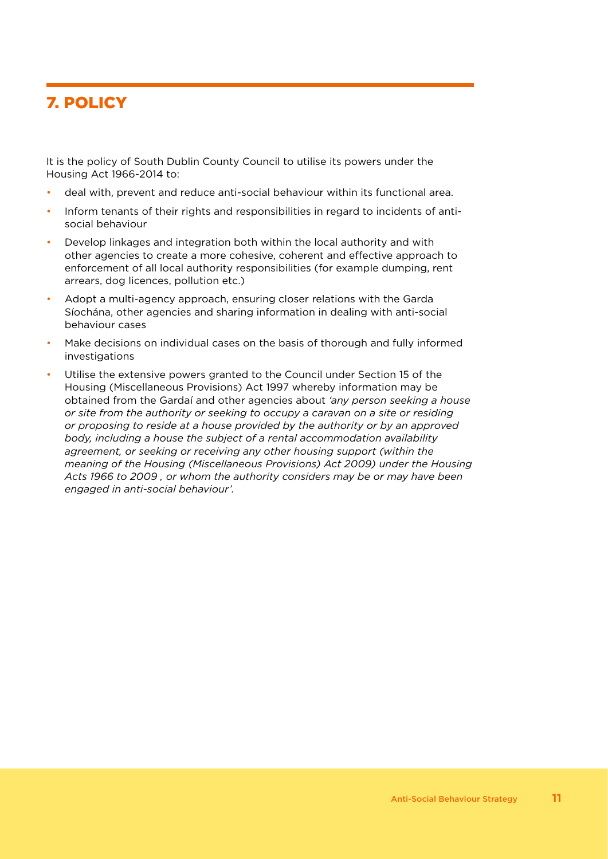### 7. POLICY

It is the policy of South Dublin County Council to utilise its powers under the Housing Act 1966-2014 to:

- deal with, prevent and reduce anti-social behaviour within its functional area.
- Inform tenants of their rights and responsibilities in regard to incidents of antisocial behaviour
- Develop linkages and integration both within the local authority and with other agencies to create a more cohesive, coherent and effective approach to enforcement of all local authority responsibilities (for example dumping, rent arrears, dog licences, pollution etc.)
- Adopt a multi-agency approach, ensuring closer relations with the Garda Síochána, other agencies and sharing information in dealing with anti-social behaviour cases
- Make decisions on individual cases on the basis of thorough and fully informed investigations
- Utilise the extensive powers granted to the Council under Section 15 of the Housing (Miscellaneous Provisions) Act 1997 whereby information may be obtained from the Gardaí and other agencies about *'any person seeking a house or site from the authority or seeking to occupy a caravan on a site or residing or proposing to reside at a house provided by the authority or by an approved body, including a house the subject of a rental accommodation availability agreement, or seeking or receiving any other housing support (within the meaning of the Housing (Miscellaneous Provisions) Act 2009) under the Housing Acts 1966 to 2009 , or whom the authority considers may be or may have been engaged in anti-social behaviour'.*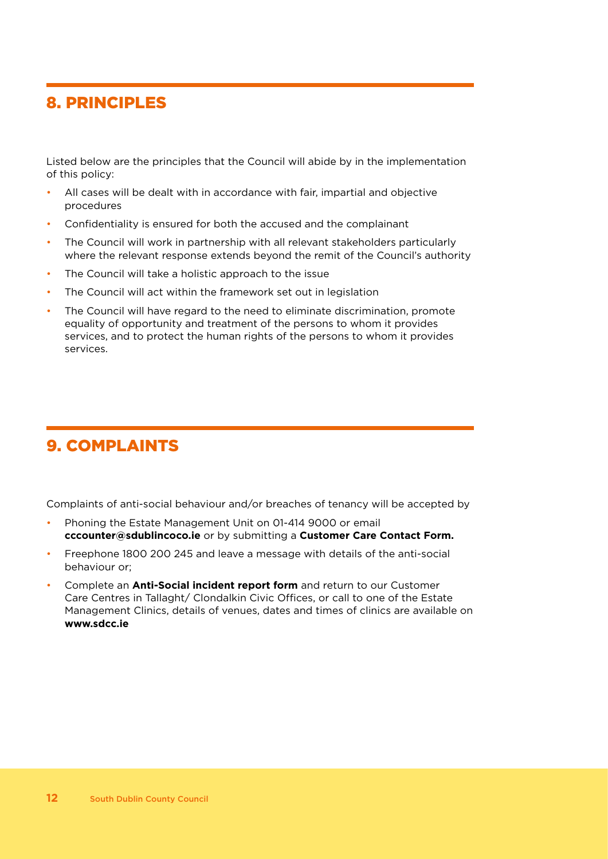### 8. PRINCIPLES

Listed below are the principles that the Council will abide by in the implementation of this policy:

- All cases will be dealt with in accordance with fair, impartial and objective procedures
- Confidentiality is ensured for both the accused and the complainant
- The Council will work in partnership with all relevant stakeholders particularly where the relevant response extends beyond the remit of the Council's authority
- The Council will take a holistic approach to the issue
- The Council will act within the framework set out in legislation
- The Council will have regard to the need to eliminate discrimination, promote equality of opportunity and treatment of the persons to whom it provides services, and to protect the human rights of the persons to whom it provides services.

### 9. COMPLAINTS

Complaints of anti-social behaviour and/or breaches of tenancy will be accepted by

- Phoning the Estate Management Unit on 01-414 9000 or email **cccounter@sdublincoco.ie** or by submitting a **Customer Care Contact Form.**
- Freephone 1800 200 245 and leave a message with details of the anti-social behaviour or;
- Complete an **Anti-Social incident report form** and return to our Customer Care Centres in Tallaght/ Clondalkin Civic Offices, or call to one of the Estate Management Clinics, details of venues, dates and times of clinics are available on **www.sdcc.ie**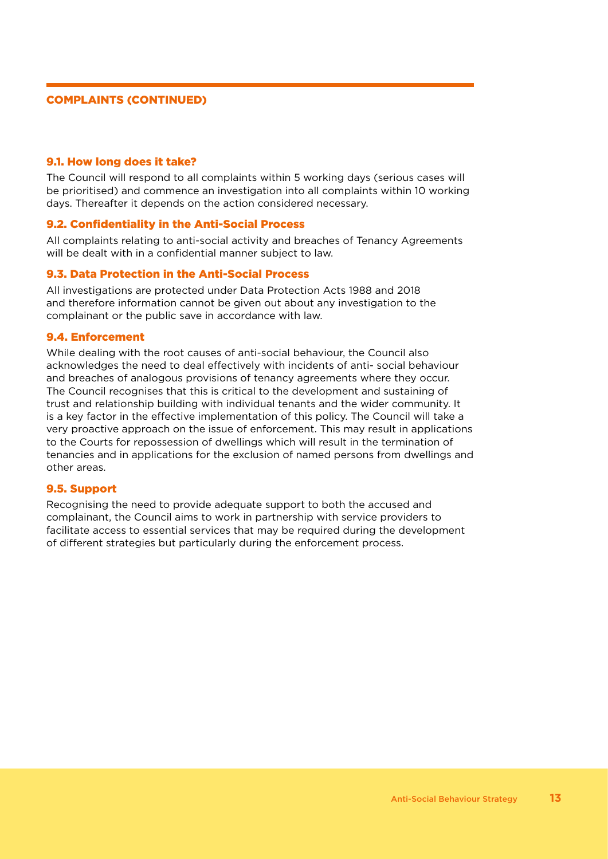#### COMPLAINTS (CONTINUED)

#### 9.1. How long does it take?

The Council will respond to all complaints within 5 working days (serious cases will be prioritised) and commence an investigation into all complaints within 10 working days. Thereafter it depends on the action considered necessary.

#### 9.2. Confidentiality in the Anti-Social Process

All complaints relating to anti-social activity and breaches of Tenancy Agreements will be dealt with in a confidential manner subject to law.

#### 9.3. Data Protection in the Anti-Social Process

All investigations are protected under Data Protection Acts 1988 and 2018 and therefore information cannot be given out about any investigation to the complainant or the public save in accordance with law.

#### 9.4. Enforcement

While dealing with the root causes of anti-social behaviour, the Council also acknowledges the need to deal effectively with incidents of anti- social behaviour and breaches of analogous provisions of tenancy agreements where they occur. The Council recognises that this is critical to the development and sustaining of trust and relationship building with individual tenants and the wider community. It is a key factor in the effective implementation of this policy. The Council will take a very proactive approach on the issue of enforcement. This may result in applications to the Courts for repossession of dwellings which will result in the termination of tenancies and in applications for the exclusion of named persons from dwellings and other areas.

#### 9.5. Support

Recognising the need to provide adequate support to both the accused and complainant, the Council aims to work in partnership with service providers to facilitate access to essential services that may be required during the development of different strategies but particularly during the enforcement process.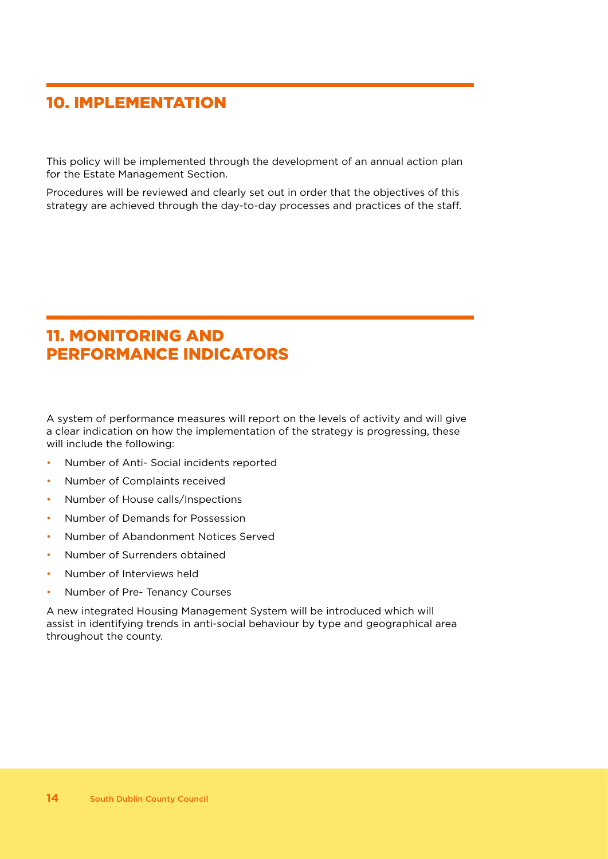### 10. IMPLEMENTATION

This policy will be implemented through the development of an annual action plan for the Estate Management Section.

Procedures will be reviewed and clearly set out in order that the objectives of this strategy are achieved through the day-to-day processes and practices of the staff.

### 11. MONITORING AND PERFORMANCE INDICATORS

A system of performance measures will report on the levels of activity and will give a clear indication on how the implementation of the strategy is progressing, these will include the following:

- Number of Anti- Social incidents reported
- Number of Complaints received
- Number of House calls/Inspections
- Number of Demands for Possession
- Number of Abandonment Notices Served
- Number of Surrenders obtained
- Number of Interviews held
- Number of Pre- Tenancy Courses

A new integrated Housing Management System will be introduced which will assist in identifying trends in anti-social behaviour by type and geographical area throughout the county.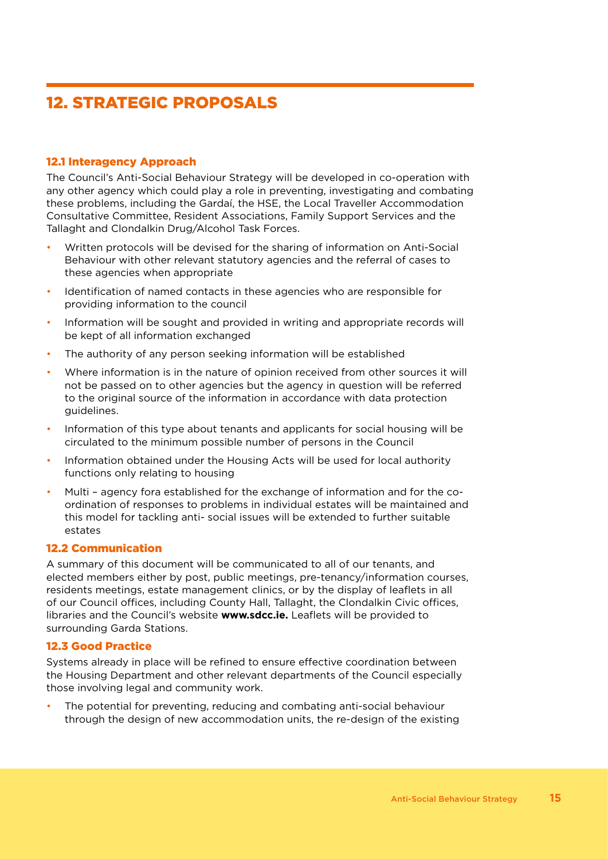### 12. STRATEGIC PROPOSALS

#### 12.1 Interagency Approach

The Council's Anti-Social Behaviour Strategy will be developed in co-operation with any other agency which could play a role in preventing, investigating and combating these problems, including the Gardaí, the HSE, the Local Traveller Accommodation Consultative Committee, Resident Associations, Family Support Services and the Tallaght and Clondalkin Drug/Alcohol Task Forces.

- Written protocols will be devised for the sharing of information on Anti-Social Behaviour with other relevant statutory agencies and the referral of cases to these agencies when appropriate
- Identification of named contacts in these agencies who are responsible for providing information to the council
- Information will be sought and provided in writing and appropriate records will be kept of all information exchanged
- The authority of any person seeking information will be established
- Where information is in the nature of opinion received from other sources it will not be passed on to other agencies but the agency in question will be referred to the original source of the information in accordance with data protection guidelines.
- Information of this type about tenants and applicants for social housing will be circulated to the minimum possible number of persons in the Council
- Information obtained under the Housing Acts will be used for local authority functions only relating to housing
- Multi agency fora established for the exchange of information and for the coordination of responses to problems in individual estates will be maintained and this model for tackling anti- social issues will be extended to further suitable estates

#### 12.2 Communication

A summary of this document will be communicated to all of our tenants, and elected members either by post, public meetings, pre-tenancy/information courses, residents meetings, estate management clinics, or by the display of leaflets in all of our Council offices, including County Hall, Tallaght, the Clondalkin Civic offices, libraries and the Council's website **www.sdcc.ie.** Leaflets will be provided to surrounding Garda Stations.

#### 12.3 Good Practice

Systems already in place will be refined to ensure effective coordination between the Housing Department and other relevant departments of the Council especially those involving legal and community work.

• The potential for preventing, reducing and combating anti-social behaviour through the design of new accommodation units, the re-design of the existing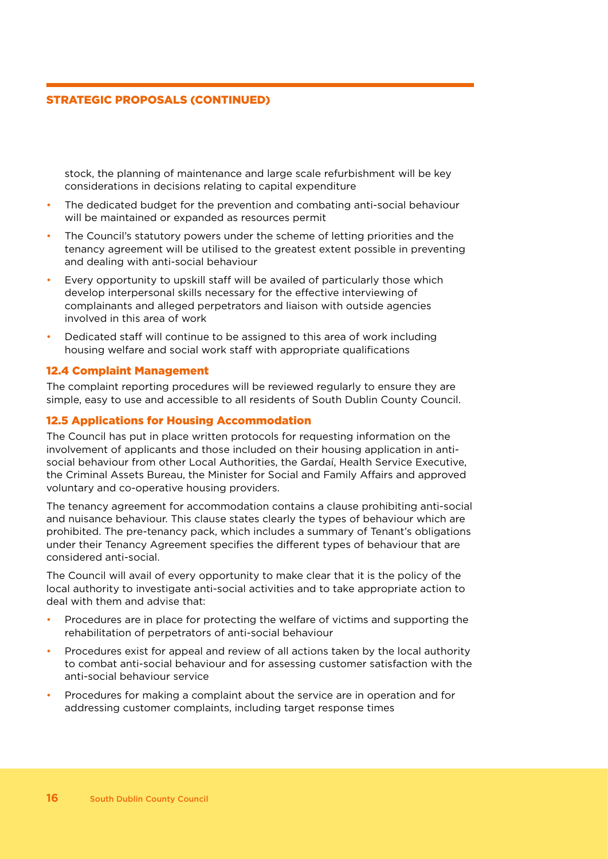#### STRATEGIC PROPOSALS (CONTINUED)

stock, the planning of maintenance and large scale refurbishment will be key considerations in decisions relating to capital expenditure

- The dedicated budget for the prevention and combating anti-social behaviour will be maintained or expanded as resources permit
- The Council's statutory powers under the scheme of letting priorities and the tenancy agreement will be utilised to the greatest extent possible in preventing and dealing with anti-social behaviour
- Every opportunity to upskill staff will be availed of particularly those which develop interpersonal skills necessary for the effective interviewing of complainants and alleged perpetrators and liaison with outside agencies involved in this area of work
- Dedicated staff will continue to be assigned to this area of work including housing welfare and social work staff with appropriate qualifications

#### 12.4 Complaint Management

The complaint reporting procedures will be reviewed regularly to ensure they are simple, easy to use and accessible to all residents of South Dublin County Council.

#### 12.5 Applications for Housing Accommodation

The Council has put in place written protocols for requesting information on the involvement of applicants and those included on their housing application in antisocial behaviour from other Local Authorities, the Gardaí, Health Service Executive, the Criminal Assets Bureau, the Minister for Social and Family Affairs and approved voluntary and co-operative housing providers.

The tenancy agreement for accommodation contains a clause prohibiting anti-social and nuisance behaviour. This clause states clearly the types of behaviour which are prohibited. The pre-tenancy pack, which includes a summary of Tenant's obligations under their Tenancy Agreement specifies the different types of behaviour that are considered anti-social.

The Council will avail of every opportunity to make clear that it is the policy of the local authority to investigate anti-social activities and to take appropriate action to deal with them and advise that:

- Procedures are in place for protecting the welfare of victims and supporting the rehabilitation of perpetrators of anti-social behaviour
- Procedures exist for appeal and review of all actions taken by the local authority to combat anti-social behaviour and for assessing customer satisfaction with the anti-social behaviour service
- Procedures for making a complaint about the service are in operation and for addressing customer complaints, including target response times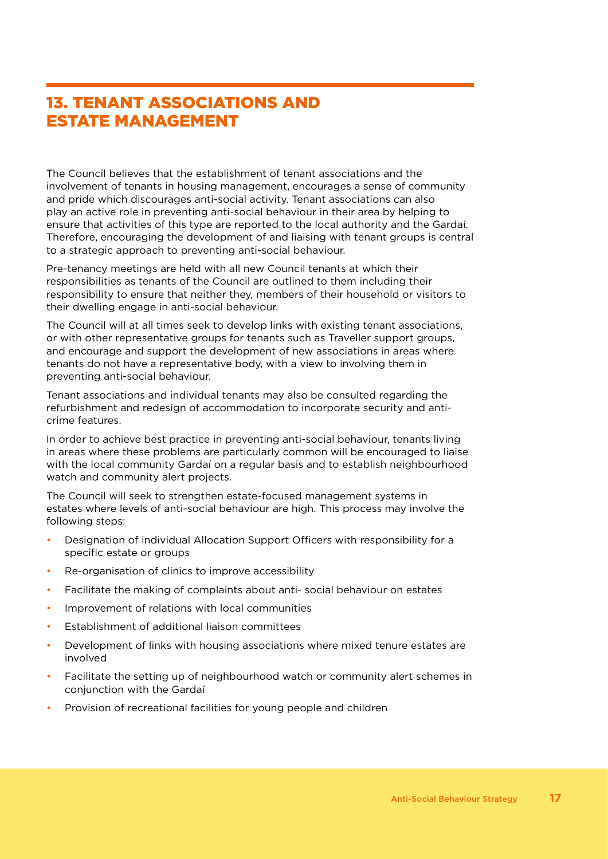### 13. TENANT ASSOCIATIONS AND ESTATE MANAGEMENT

The Council believes that the establishment of tenant associations and the involvement of tenants in housing management, encourages a sense of community and pride which discourages anti-social activity. Tenant associations can also play an active role in preventing anti-social behaviour in their area by helping to ensure that activities of this type are reported to the local authority and the Gardaí. Therefore, encouraging the development of and liaising with tenant groups is central to a strategic approach to preventing anti-social behaviour.

Pre-tenancy meetings are held with all new Council tenants at which their responsibilities as tenants of the Council are outlined to them including their responsibility to ensure that neither they, members of their household or visitors to their dwelling engage in anti-social behaviour.

The Council will at all times seek to develop links with existing tenant associations, or with other representative groups for tenants such as Traveller support groups, and encourage and support the development of new associations in areas where tenants do not have a representative body, with a view to involving them in preventing anti-social behaviour.

Tenant associations and individual tenants may also be consulted regarding the refurbishment and redesign of accommodation to incorporate security and anticrime features.

In order to achieve best practice in preventing anti-social behaviour, tenants living in areas where these problems are particularly common will be encouraged to liaise with the local community Gardaí on a regular basis and to establish neighbourhood watch and community alert projects.

The Council will seek to strengthen estate-focused management systems in estates where levels of anti-social behaviour are high. This process may involve the following steps:

- Designation of individual Allocation Support Officers with responsibility for a specific estate or groups
- Re-organisation of clinics to improve accessibility
- Facilitate the making of complaints about anti- social behaviour on estates
- Improvement of relations with local communities
- Establishment of additional liaison committees
- Development of links with housing associations where mixed tenure estates are involved
- Facilitate the setting up of neighbourhood watch or community alert schemes in conjunction with the Gardaí
- Provision of recreational facilities for young people and children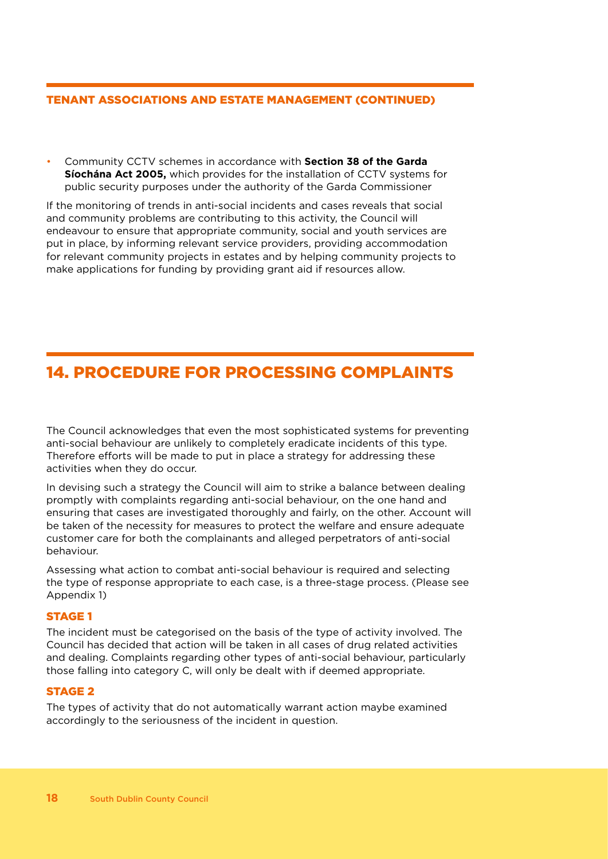#### TENANT ASSOCIATIONS AND ESTATE MANAGEMENT (CONTINUED)

• Community CCTV schemes in accordance with **Section 38 of the Garda Síochána Act 2005,** which provides for the installation of CCTV systems for public security purposes under the authority of the Garda Commissioner

If the monitoring of trends in anti-social incidents and cases reveals that social and community problems are contributing to this activity, the Council will endeavour to ensure that appropriate community, social and youth services are put in place, by informing relevant service providers, providing accommodation for relevant community projects in estates and by helping community projects to make applications for funding by providing grant aid if resources allow.

### 14. PROCEDURE FOR PROCESSING COMPLAINTS

The Council acknowledges that even the most sophisticated systems for preventing anti-social behaviour are unlikely to completely eradicate incidents of this type. Therefore efforts will be made to put in place a strategy for addressing these activities when they do occur.

In devising such a strategy the Council will aim to strike a balance between dealing promptly with complaints regarding anti-social behaviour, on the one hand and ensuring that cases are investigated thoroughly and fairly, on the other. Account will be taken of the necessity for measures to protect the welfare and ensure adequate customer care for both the complainants and alleged perpetrators of anti-social behaviour.

Assessing what action to combat anti-social behaviour is required and selecting the type of response appropriate to each case, is a three-stage process. (Please see Appendix 1)

#### STAGE 1

The incident must be categorised on the basis of the type of activity involved. The Council has decided that action will be taken in all cases of drug related activities and dealing. Complaints regarding other types of anti-social behaviour, particularly those falling into category C, will only be dealt with if deemed appropriate.

#### STAGE 2

The types of activity that do not automatically warrant action maybe examined accordingly to the seriousness of the incident in question.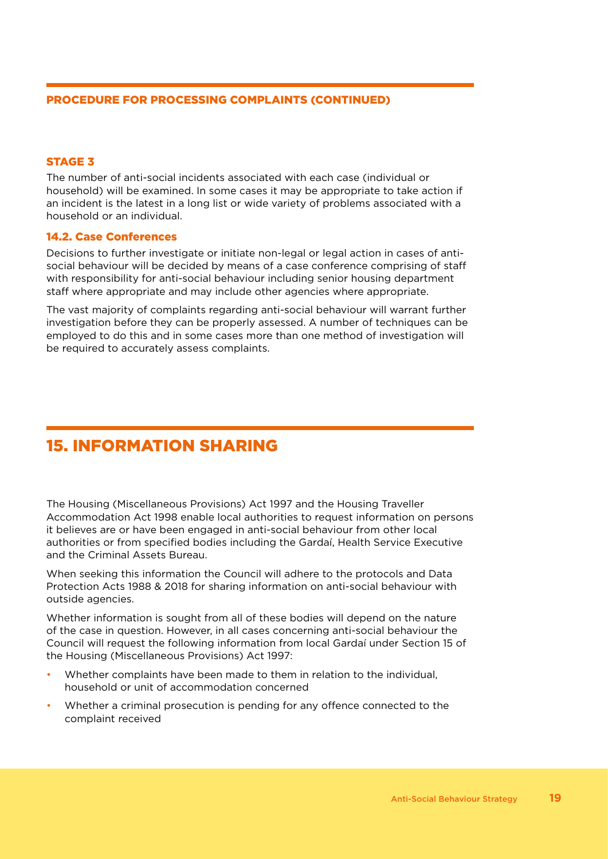#### PROCEDURE FOR PROCESSING COMPLAINTS (CONTINUED)

#### STAGE 3

The number of anti-social incidents associated with each case (individual or household) will be examined. In some cases it may be appropriate to take action if an incident is the latest in a long list or wide variety of problems associated with a household or an individual.

#### 14.2. Case Conferences

Decisions to further investigate or initiate non-legal or legal action in cases of antisocial behaviour will be decided by means of a case conference comprising of staff with responsibility for anti-social behaviour including senior housing department staff where appropriate and may include other agencies where appropriate.

The vast majority of complaints regarding anti-social behaviour will warrant further investigation before they can be properly assessed. A number of techniques can be employed to do this and in some cases more than one method of investigation will be required to accurately assess complaints.

### 15. INFORMATION SHARING

The Housing (Miscellaneous Provisions) Act 1997 and the Housing Traveller Accommodation Act 1998 enable local authorities to request information on persons it believes are or have been engaged in anti-social behaviour from other local authorities or from specified bodies including the Gardaí, Health Service Executive and the Criminal Assets Bureau.

When seeking this information the Council will adhere to the protocols and Data Protection Acts 1988 & 2018 for sharing information on anti-social behaviour with outside agencies.

Whether information is sought from all of these bodies will depend on the nature of the case in question. However, in all cases concerning anti-social behaviour the Council will request the following information from local Gardaí under Section 15 of the Housing (Miscellaneous Provisions) Act 1997:

- Whether complaints have been made to them in relation to the individual, household or unit of accommodation concerned
- Whether a criminal prosecution is pending for any offence connected to the complaint received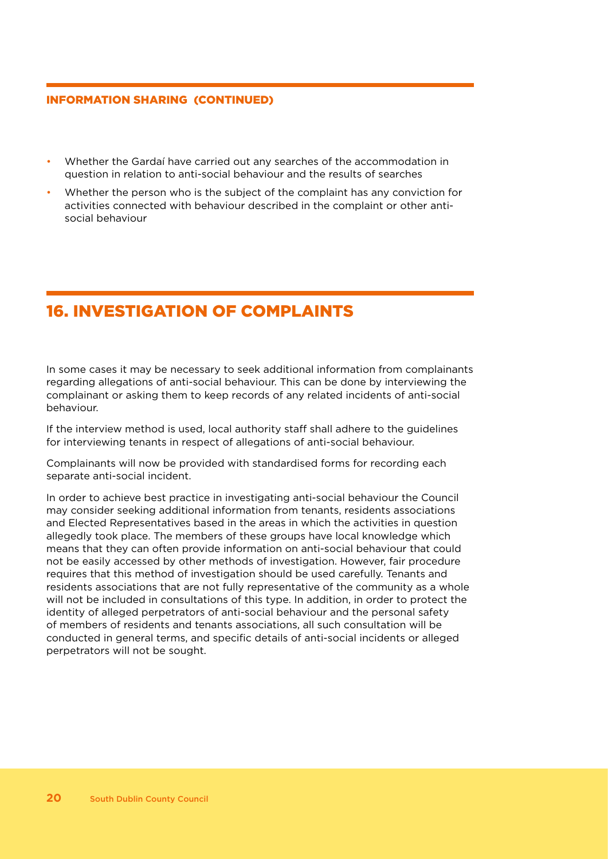#### INFORMATION SHARING (CONTINUED)

- Whether the Gardaí have carried out any searches of the accommodation in question in relation to anti-social behaviour and the results of searches
- Whether the person who is the subject of the complaint has any conviction for activities connected with behaviour described in the complaint or other antisocial behaviour

### 16. INVESTIGATION OF COMPLAINTS

In some cases it may be necessary to seek additional information from complainants regarding allegations of anti-social behaviour. This can be done by interviewing the complainant or asking them to keep records of any related incidents of anti-social behaviour.

If the interview method is used, local authority staff shall adhere to the guidelines for interviewing tenants in respect of allegations of anti-social behaviour.

Complainants will now be provided with standardised forms for recording each separate anti-social incident.

In order to achieve best practice in investigating anti-social behaviour the Council may consider seeking additional information from tenants, residents associations and Elected Representatives based in the areas in which the activities in question allegedly took place. The members of these groups have local knowledge which means that they can often provide information on anti-social behaviour that could not be easily accessed by other methods of investigation. However, fair procedure requires that this method of investigation should be used carefully. Tenants and residents associations that are not fully representative of the community as a whole will not be included in consultations of this type. In addition, in order to protect the identity of alleged perpetrators of anti-social behaviour and the personal safety of members of residents and tenants associations, all such consultation will be conducted in general terms, and specific details of anti-social incidents or alleged perpetrators will not be sought.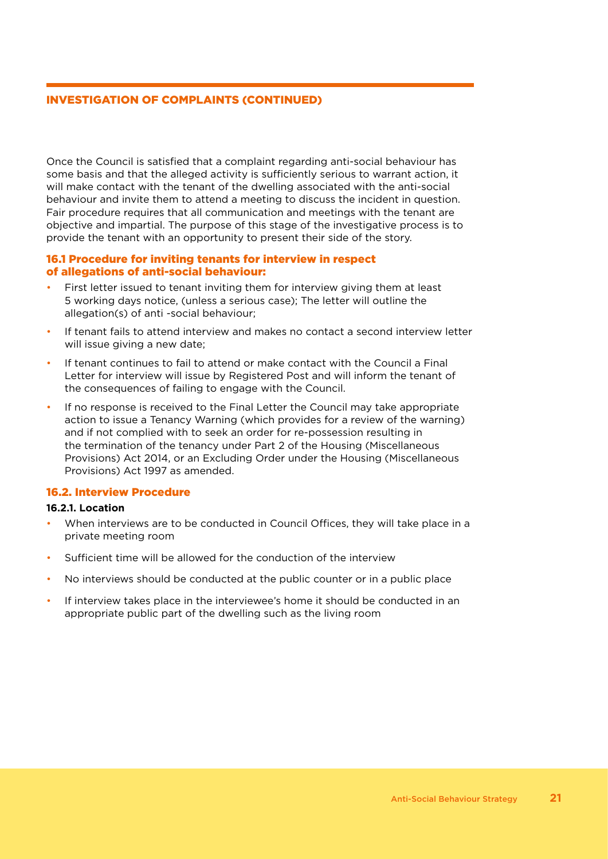#### INVESTIGATION OF COMPLAINTS (CONTINUED)

Once the Council is satisfied that a complaint regarding anti-social behaviour has some basis and that the alleged activity is sufficiently serious to warrant action, it will make contact with the tenant of the dwelling associated with the anti-social behaviour and invite them to attend a meeting to discuss the incident in question. Fair procedure requires that all communication and meetings with the tenant are objective and impartial. The purpose of this stage of the investigative process is to provide the tenant with an opportunity to present their side of the story.

#### 16.1 Procedure for inviting tenants for interview in respect of allegations of anti-social behaviour:

- First letter issued to tenant inviting them for interview giving them at least 5 working days notice, (unless a serious case); The letter will outline the allegation(s) of anti -social behaviour;
- If tenant fails to attend interview and makes no contact a second interview letter will issue giving a new date;
- If tenant continues to fail to attend or make contact with the Council a Final Letter for interview will issue by Registered Post and will inform the tenant of the consequences of failing to engage with the Council.
- If no response is received to the Final Letter the Council may take appropriate action to issue a Tenancy Warning (which provides for a review of the warning) and if not complied with to seek an order for re-possession resulting in the termination of the tenancy under Part 2 of the Housing (Miscellaneous Provisions) Act 2014, or an Excluding Order under the Housing (Miscellaneous Provisions) Act 1997 as amended.

#### 16.2. Interview Procedure

#### **16.2.1. Location**

- When interviews are to be conducted in Council Offices, they will take place in a private meeting room
- Sufficient time will be allowed for the conduction of the interview
- No interviews should be conducted at the public counter or in a public place
- If interview takes place in the interviewee's home it should be conducted in an appropriate public part of the dwelling such as the living room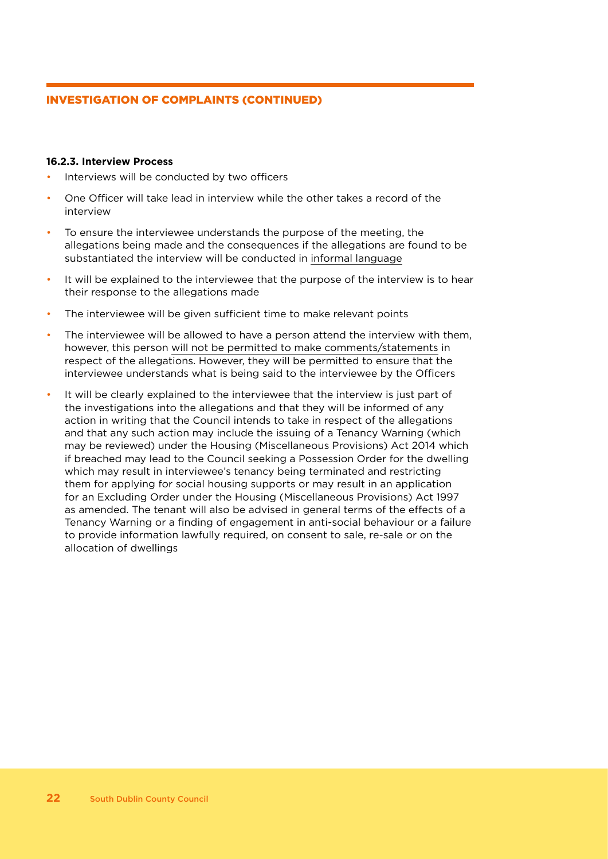#### INVESTIGATION OF COMPLAINTS (CONTINUED)

#### **16.2.3. Interview Process**

- Interviews will be conducted by two officers
- One Officer will take lead in interview while the other takes a record of the interview
- To ensure the interviewee understands the purpose of the meeting, the allegations being made and the consequences if the allegations are found to be substantiated the interview will be conducted in informal language
- It will be explained to the interviewee that the purpose of the interview is to hear their response to the allegations made
- The interviewee will be given sufficient time to make relevant points
- The interviewee will be allowed to have a person attend the interview with them, however, this person will not be permitted to make comments/statements in respect of the allegations. However, they will be permitted to ensure that the interviewee understands what is being said to the interviewee by the Officers
- It will be clearly explained to the interviewee that the interview is just part of the investigations into the allegations and that they will be informed of any action in writing that the Council intends to take in respect of the allegations and that any such action may include the issuing of a Tenancy Warning (which may be reviewed) under the Housing (Miscellaneous Provisions) Act 2014 which if breached may lead to the Council seeking a Possession Order for the dwelling which may result in interviewee's tenancy being terminated and restricting them for applying for social housing supports or may result in an application for an Excluding Order under the Housing (Miscellaneous Provisions) Act 1997 as amended. The tenant will also be advised in general terms of the effects of a Tenancy Warning or a finding of engagement in anti-social behaviour or a failure to provide information lawfully required, on consent to sale, re-sale or on the allocation of dwellings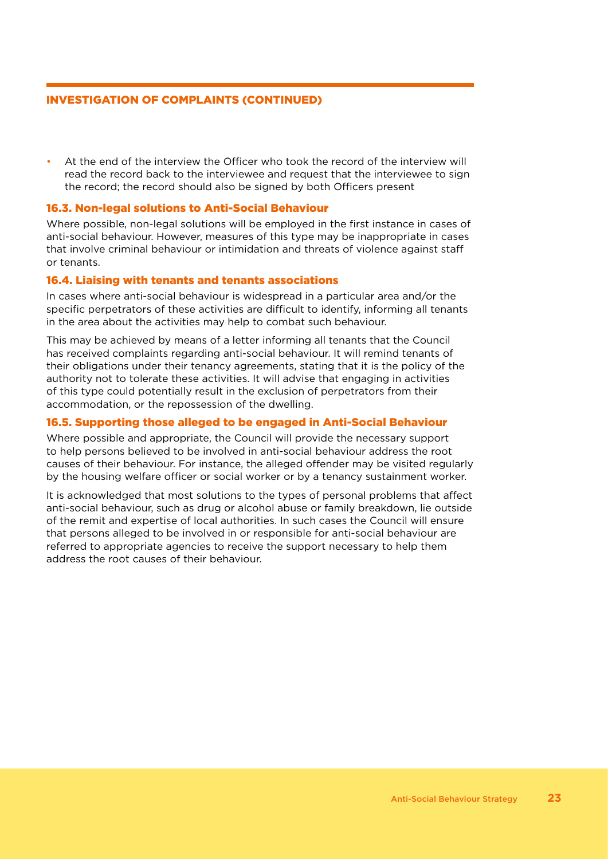#### INVESTIGATION OF COMPLAINTS (CONTINUED)

• At the end of the interview the Officer who took the record of the interview will read the record back to the interviewee and request that the interviewee to sign the record; the record should also be signed by both Officers present

#### 16.3. Non-legal solutions to Anti-Social Behaviour

Where possible, non-legal solutions will be employed in the first instance in cases of anti-social behaviour. However, measures of this type may be inappropriate in cases that involve criminal behaviour or intimidation and threats of violence against staff or tenants.

#### 16.4. Liaising with tenants and tenants associations

In cases where anti-social behaviour is widespread in a particular area and/or the specific perpetrators of these activities are difficult to identify, informing all tenants in the area about the activities may help to combat such behaviour.

This may be achieved by means of a letter informing all tenants that the Council has received complaints regarding anti-social behaviour. It will remind tenants of their obligations under their tenancy agreements, stating that it is the policy of the authority not to tolerate these activities. It will advise that engaging in activities of this type could potentially result in the exclusion of perpetrators from their accommodation, or the repossession of the dwelling.

#### 16.5. Supporting those alleged to be engaged in Anti-Social Behaviour

Where possible and appropriate, the Council will provide the necessary support to help persons believed to be involved in anti-social behaviour address the root causes of their behaviour. For instance, the alleged offender may be visited regularly by the housing welfare officer or social worker or by a tenancy sustainment worker.

It is acknowledged that most solutions to the types of personal problems that affect anti-social behaviour, such as drug or alcohol abuse or family breakdown, lie outside of the remit and expertise of local authorities. In such cases the Council will ensure that persons alleged to be involved in or responsible for anti-social behaviour are referred to appropriate agencies to receive the support necessary to help them address the root causes of their behaviour.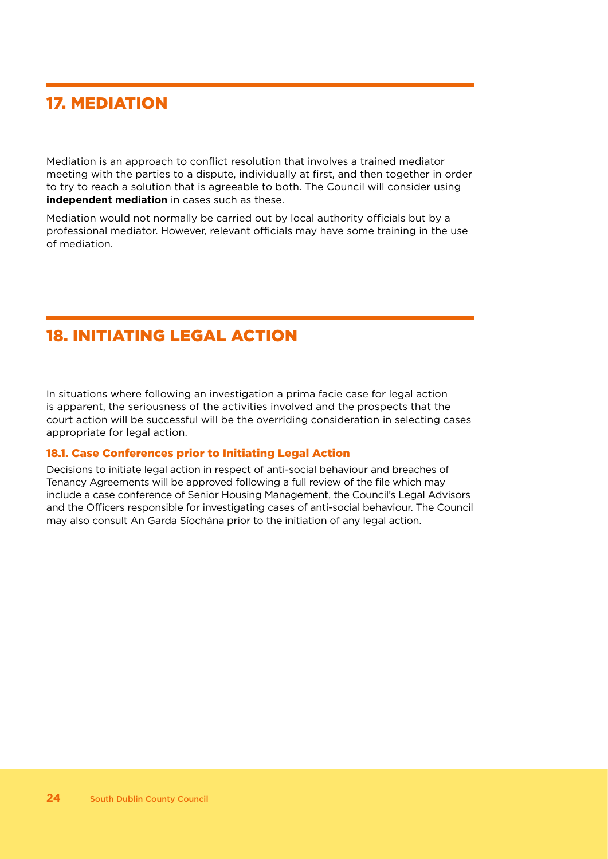### 17. MEDIATION

Mediation is an approach to conflict resolution that involves a trained mediator meeting with the parties to a dispute, individually at first, and then together in order to try to reach a solution that is agreeable to both. The Council will consider using **independent mediation** in cases such as these.

Mediation would not normally be carried out by local authority officials but by a professional mediator. However, relevant officials may have some training in the use of mediation.

### 18. INITIATING LEGAL ACTION

In situations where following an investigation a prima facie case for legal action is apparent, the seriousness of the activities involved and the prospects that the court action will be successful will be the overriding consideration in selecting cases appropriate for legal action.

#### 18.1. Case Conferences prior to Initiating Legal Action

Decisions to initiate legal action in respect of anti-social behaviour and breaches of Tenancy Agreements will be approved following a full review of the file which may include a case conference of Senior Housing Management, the Council's Legal Advisors and the Officers responsible for investigating cases of anti-social behaviour. The Council may also consult An Garda Síochána prior to the initiation of any legal action.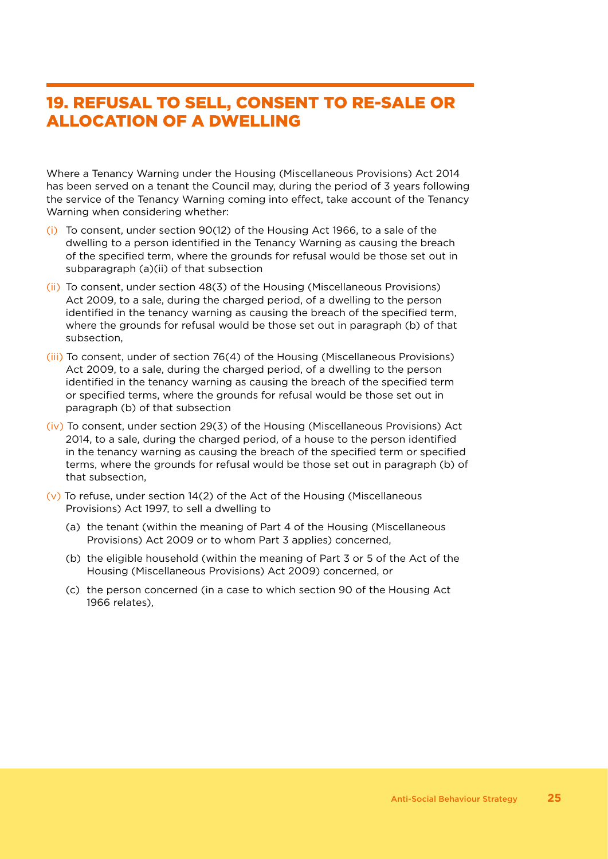### 19. REFUSAL TO SELL, CONSENT TO RE-SALE OR ALLOCATION OF A DWELLING

Where a Tenancy Warning under the Housing (Miscellaneous Provisions) Act 2014 has been served on a tenant the Council may, during the period of 3 years following the service of the Tenancy Warning coming into effect, take account of the Tenancy Warning when considering whether:

- (i) To consent, under section 90(12) of the Housing Act 1966, to a sale of the dwelling to a person identified in the Tenancy Warning as causing the breach of the specified term, where the grounds for refusal would be those set out in subparagraph (a)(ii) of that subsection
- (ii) To consent, under section 48(3) of the Housing (Miscellaneous Provisions) Act 2009, to a sale, during the charged period, of a dwelling to the person identified in the tenancy warning as causing the breach of the specified term, where the grounds for refusal would be those set out in paragraph (b) of that subsection,
- (iii) To consent, under of section 76(4) of the Housing (Miscellaneous Provisions) Act 2009, to a sale, during the charged period, of a dwelling to the person identified in the tenancy warning as causing the breach of the specified term or specified terms, where the grounds for refusal would be those set out in paragraph (b) of that subsection
- (iv) To consent, under section 29(3) of the Housing (Miscellaneous Provisions) Act 2014, to a sale, during the charged period, of a house to the person identified in the tenancy warning as causing the breach of the specified term or specified terms, where the grounds for refusal would be those set out in paragraph (b) of that subsection,
- (v) To refuse, under section 14(2) of the Act of the Housing (Miscellaneous Provisions) Act 1997, to sell a dwelling to
	- (a) the tenant (within the meaning of Part 4 of the Housing (Miscellaneous Provisions) Act 2009 or to whom Part 3 applies) concerned,
	- (b) the eligible household (within the meaning of Part 3 or 5 of the Act of the Housing (Miscellaneous Provisions) Act 2009) concerned, or
	- (c) the person concerned (in a case to which section 90 of the Housing Act 1966 relates),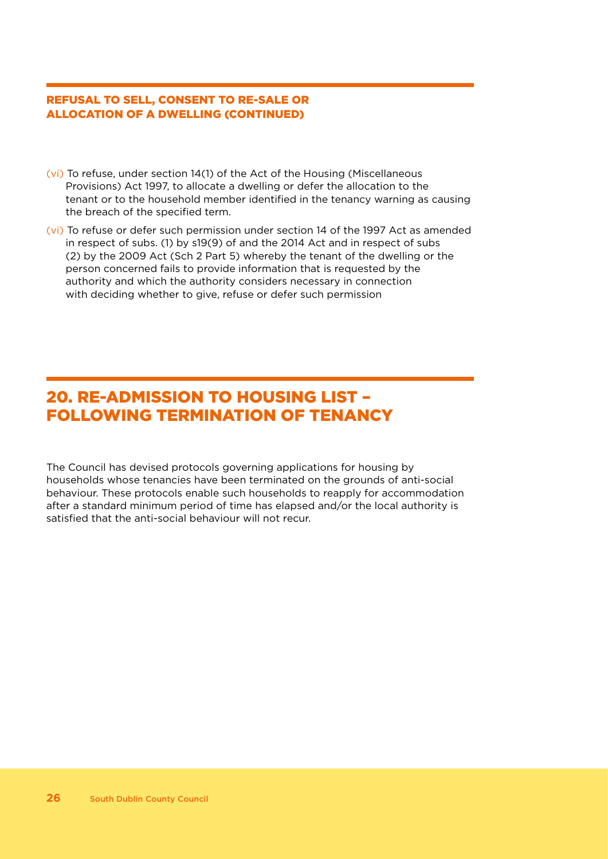#### REFUSAL TO SELL, CONSENT TO RE-SALE OR ALLOCATION OF A DWELLING (CONTINUED)

- (vi) To refuse, under section 14(1) of the Act of the Housing (Miscellaneous Provisions) Act 1997, to allocate a dwelling or defer the allocation to the tenant or to the household member identified in the tenancy warning as causing the breach of the specified term.
- (vi) To refuse or defer such permission under section 14 of the 1997 Act as amended in respect of subs. (1) by s19(9) of and the 2014 Act and in respect of subs (2) by the 2009 Act (Sch 2 Part 5) whereby the tenant of the dwelling or the person concerned fails to provide information that is requested by the authority and which the authority considers necessary in connection with deciding whether to give, refuse or defer such permission

### 20. RE-ADMISSION TO HOUSING LIST – FOLLOWING TERMINATION OF TENANCY

The Council has devised protocols governing applications for housing by households whose tenancies have been terminated on the grounds of anti-social behaviour. These protocols enable such households to reapply for accommodation after a standard minimum period of time has elapsed and/or the local authority is satisfied that the anti-social behaviour will not recur.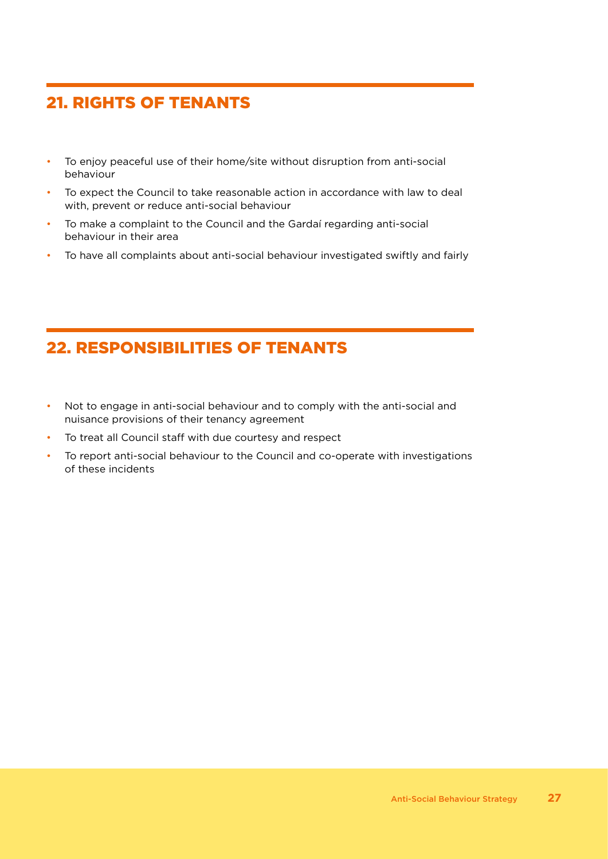### 21. RIGHTS OF TENANTS

- To enjoy peaceful use of their home/site without disruption from anti-social behaviour
- To expect the Council to take reasonable action in accordance with law to deal with, prevent or reduce anti-social behaviour
- To make a complaint to the Council and the Gardaí regarding anti-social behaviour in their area
- To have all complaints about anti-social behaviour investigated swiftly and fairly

### 22. RESPONSIBILITIES OF TENANTS

- Not to engage in anti-social behaviour and to comply with the anti-social and nuisance provisions of their tenancy agreement
- To treat all Council staff with due courtesy and respect
- To report anti-social behaviour to the Council and co-operate with investigations of these incidents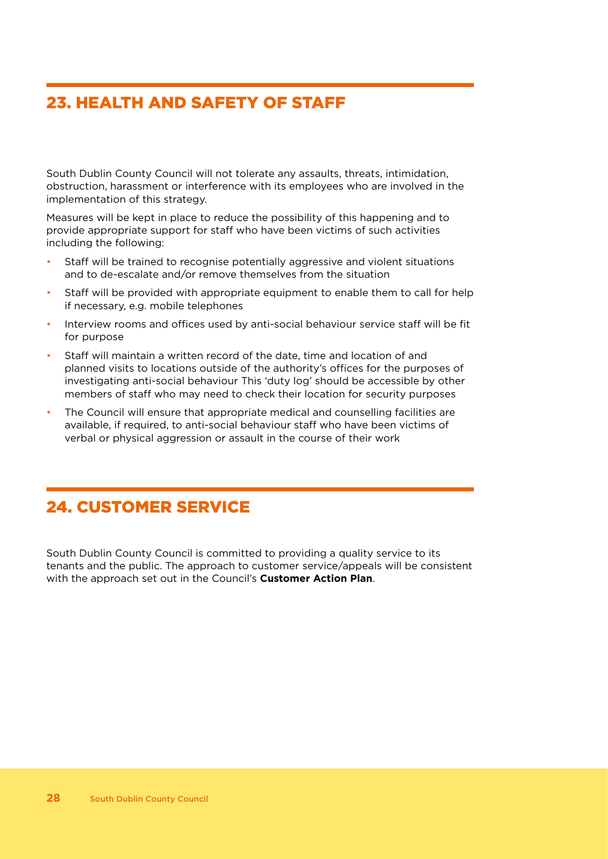### 23. HEALTH AND SAFETY OF STAFF

South Dublin County Council will not tolerate any assaults, threats, intimidation, obstruction, harassment or interference with its employees who are involved in the implementation of this strategy.

Measures will be kept in place to reduce the possibility of this happening and to provide appropriate support for staff who have been victims of such activities including the following:

- Staff will be trained to recognise potentially aggressive and violent situations and to de-escalate and/or remove themselves from the situation
- Staff will be provided with appropriate equipment to enable them to call for help if necessary, e.g. mobile telephones
- Interview rooms and offices used by anti-social behaviour service staff will be fit for purpose
- Staff will maintain a written record of the date, time and location of and planned visits to locations outside of the authority's offices for the purposes of investigating anti-social behaviour This 'duty log' should be accessible by other members of staff who may need to check their location for security purposes
- The Council will ensure that appropriate medical and counselling facilities are available, if required, to anti-social behaviour staff who have been victims of verbal or physical aggression or assault in the course of their work

### 24. CUSTOMER SERVICE

South Dublin County Council is committed to providing a quality service to its tenants and the public. The approach to customer service/appeals will be consistent with the approach set out in the Council's **Customer Action Plan**.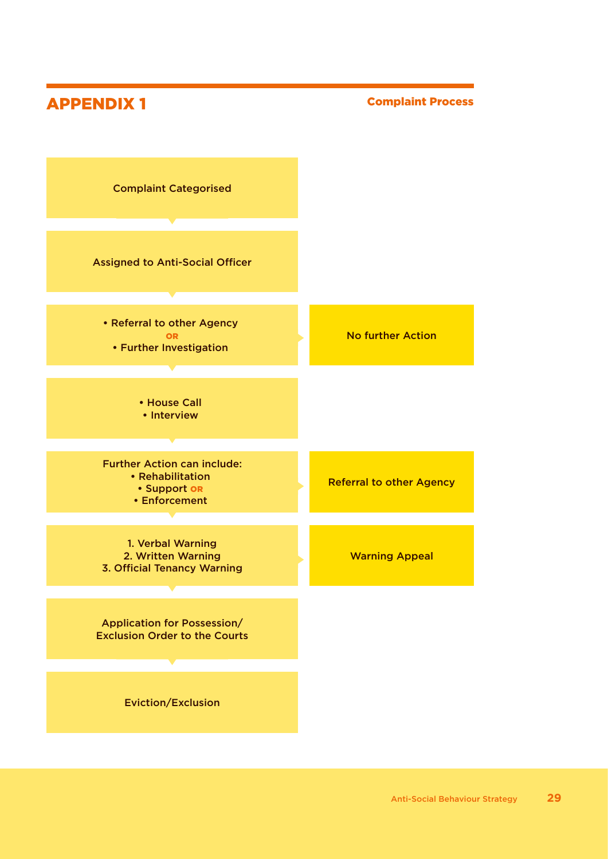### APPENDIX 1

#### Complaint Process

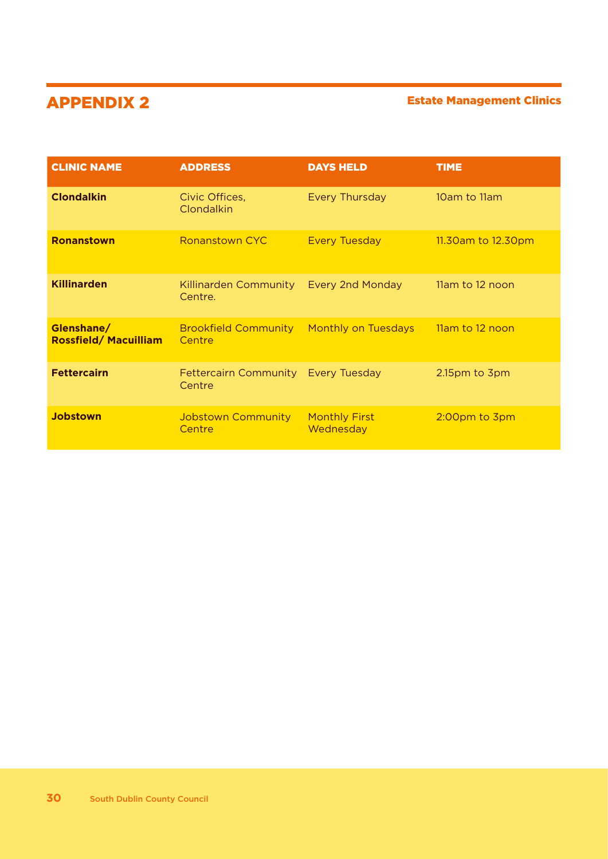### APPENDIX 2 Estate Management Clinics

| <b>CLINIC NAME</b>                        | <b>ADDRESS</b>                                | <b>DAYS HELD</b>                  | <b>TIME</b>        |
|-------------------------------------------|-----------------------------------------------|-----------------------------------|--------------------|
| <b>Clondalkin</b>                         | Civic Offices,<br>Clondalkin                  | <b>Every Thursday</b>             | 10am to 11am       |
| <b>Ronanstown</b>                         | <b>Ronanstown CYC</b>                         | <b>Every Tuesday</b>              | 11.30am to 12.30pm |
| <b>Killinarden</b>                        | Killinarden Community<br>Centre.              | <b>Every 2nd Monday</b>           | 11am to 12 noon    |
| Glenshane/<br><b>Rossfield/Macuilliam</b> | <b>Brookfield Community</b><br>Centre         | <b>Monthly on Tuesdays</b>        | 11am to 12 noon    |
| <b>Fettercairn</b>                        | Fettercairn Community Every Tuesday<br>Centre |                                   | 2.15pm to 3pm      |
| <b>Jobstown</b>                           | <b>Jobstown Community</b><br>Centre           | <b>Monthly First</b><br>Wednesday | 2:00pm to 3pm      |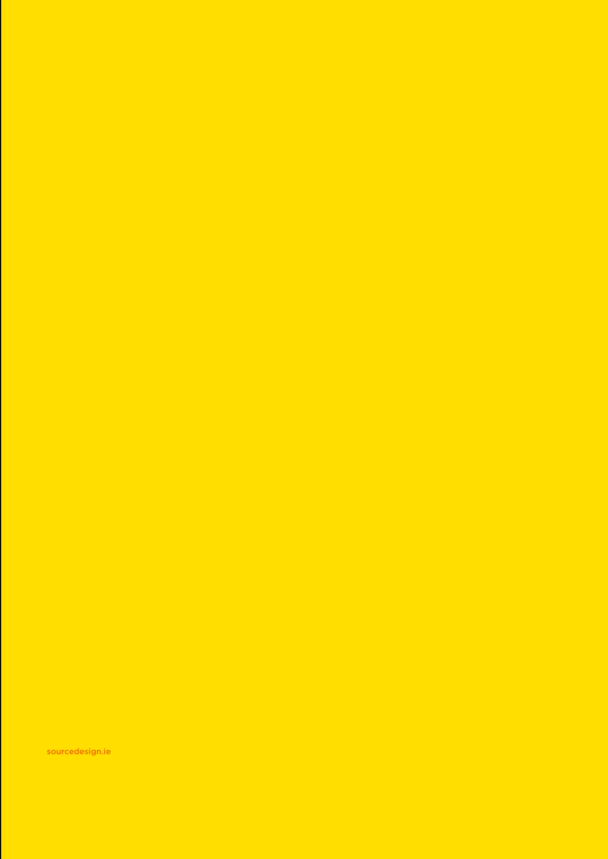sourcedesign.ie